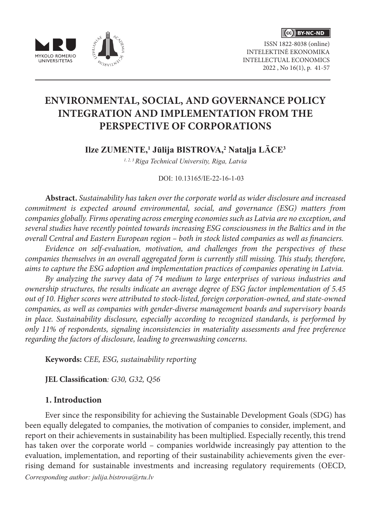





ISSN 1822-8038 (online) INTELEKTINĖ EKONOMIKA INTELLECTUAL ECONOMICS 2022 , No 16(1), p. 41-57

# **ENVIRONMENTAL, SOCIAL, AND GOVERNANCE POLICY INTEGRATION AND IMPLEMENTATION FROM THE PERSPECTIVE OF CORPORATIONS**

**Ilze ZUMENTE,1 Jūlija BISTROVA,<sup>2</sup> Nataļja LĀCE<sup>3</sup>**

*1, 2, 3 Riga Technical University, Riga, Latvia*

DOI: 10.13165/IE-22-16-1-03

**Abstract.** *Sustainability has taken over the corporate world as wider disclosure and increased commitment is expected around environmental, social, and governance (ESG) matters from companies globally. Firms operating across emerging economies such as Latvia are no exception, and several studies have recently pointed towards increasing ESG consciousness in the Baltics and in the overall Central and Eastern European region – both in stock listed companies as well as financiers.*

*Evidence on self-evaluation, motivation, and challenges from the perspectives of these companies themselves in an overall aggregated form is currently still missing. This study, therefore, aims to capture the ESG adoption and implementation practices of companies operating in Latvia.*

*By analyzing the survey data of 74 medium to large enterprises of various industries and ownership structures, the results indicate an average degree of ESG factor implementation of 5.45 out of 10. Higher scores were attributed to stock-listed, foreign corporation-owned, and state-owned companies, as well as companies with gender-diverse management boards and supervisory boards in place. Sustainability disclosure, especially according to recognized standards, is performed by only 11% of respondents, signaling inconsistencies in materiality assessments and free preference regarding the factors of disclosure, leading to greenwashing concerns.* 

**Keywords:** *CEE, ESG, sustainability reporting*

**JEL Classification***: G30, G32, Q56*

## **1. Introduction**

Ever since the responsibility for achieving the Sustainable Development Goals (SDG) has been equally delegated to companies, the motivation of companies to consider, implement, and report on their achievements in sustainability has been multiplied. Especially recently, this trend has taken over the corporate world – companies worldwide increasingly pay attention to the evaluation, implementation, and reporting of their sustainability achievements given the everrising demand for sustainable investments and increasing regulatory requirements (OECD, *Corresponding author: julija.bistrova@rtu.lv*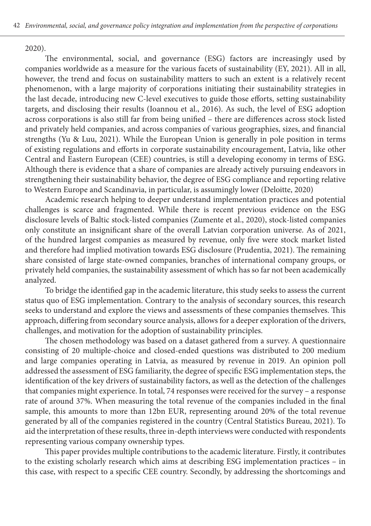2020).

The environmental, social, and governance (ESG) factors are increasingly used by companies worldwide as a measure for the various facets of sustainability (EY, 2021). All in all, however, the trend and focus on sustainability matters to such an extent is a relatively recent phenomenon, with a large majority of corporations initiating their sustainability strategies in the last decade, introducing new C-level executives to guide those efforts, setting sustainability targets, and disclosing their results (Ioannou et al., 2016). As such, the level of ESG adoption across corporations is also still far from being unified – there are differences across stock listed and privately held companies, and across companies of various geographies, sizes, and financial strengths (Yu & Luu, 2021). While the European Union is generally in pole position in terms of existing regulations and efforts in corporate sustainability encouragement, Latvia, like other Central and Eastern European (CEE) countries, is still a developing economy in terms of ESG. Although there is evidence that a share of companies are already actively pursuing endeavors in strengthening their sustainability behavior, the degree of ESG compliance and reporting relative to Western Europe and Scandinavia, in particular, is assumingly lower (Deloitte, 2020)

Academic research helping to deeper understand implementation practices and potential challenges is scarce and fragmented. While there is recent previous evidence on the ESG disclosure levels of Baltic stock-listed companies (Zumente et al., 2020), stock-listed companies only constitute an insignificant share of the overall Latvian corporation universe. As of 2021, of the hundred largest companies as measured by revenue, only five were stock market listed and therefore had implied motivation towards ESG disclosure (Prudentia, 2021). The remaining share consisted of large state-owned companies, branches of international company groups, or privately held companies, the sustainability assessment of which has so far not been academically analyzed.

To bridge the identified gap in the academic literature, this study seeks to assess the current status quo of ESG implementation. Contrary to the analysis of secondary sources, this research seeks to understand and explore the views and assessments of these companies themselves. This approach, differing from secondary source analysis, allows for a deeper exploration of the drivers, challenges, and motivation for the adoption of sustainability principles.

The chosen methodology was based on a dataset gathered from a survey. A questionnaire consisting of 20 multiple-choice and closed-ended questions was distributed to 200 medium and large companies operating in Latvia, as measured by revenue in 2019. An opinion poll addressed the assessment of ESG familiarity, the degree of specific ESG implementation steps, the identification of the key drivers of sustainability factors, as well as the detection of the challenges that companies might experience. In total, 74 responses were received for the survey – a response rate of around 37%. When measuring the total revenue of the companies included in the final sample, this amounts to more than 12bn EUR, representing around 20% of the total revenue generated by all of the companies registered in the country (Central Statistics Bureau, 2021). To aid the interpretation of these results, three in-depth interviews were conducted with respondents representing various company ownership types.

This paper provides multiple contributions to the academic literature. Firstly, it contributes to the existing scholarly research which aims at describing ESG implementation practices – in this case, with respect to a specific CEE country. Secondly, by addressing the shortcomings and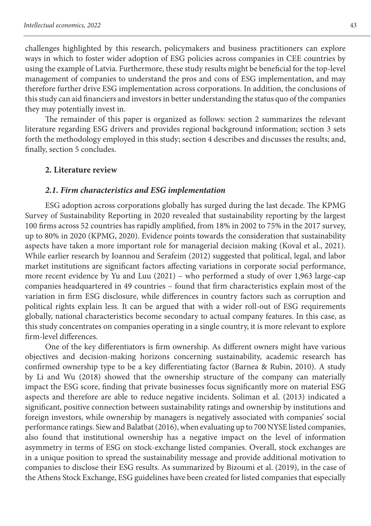challenges highlighted by this research, policymakers and business practitioners can explore ways in which to foster wider adoption of ESG policies across companies in CEE countries by using the example of Latvia. Furthermore, these study results might be beneficial for the top-level management of companies to understand the pros and cons of ESG implementation, and may therefore further drive ESG implementation across corporations. In addition, the conclusions of this study can aid financiers and investors in better understanding the status quo of the companies they may potentially invest in.

The remainder of this paper is organized as follows: section 2 summarizes the relevant literature regarding ESG drivers and provides regional background information; section 3 sets forth the methodology employed in this study; section 4 describes and discusses the results; and, finally, section 5 concludes.

#### **2. Literature review**

#### *2.1. Firm characteristics and ESG implementation*

ESG adoption across corporations globally has surged during the last decade. The KPMG Survey of Sustainability Reporting in 2020 revealed that sustainability reporting by the largest 100 firms across 52 countries has rapidly amplified, from 18% in 2002 to 75% in the 2017 survey, up to 80% in 2020 (KPMG, 2020). Evidence points towards the consideration that sustainability aspects have taken a more important role for managerial decision making (Koval et al., 2021). While earlier research by Ioannou and Serafeim (2012) suggested that political, legal, and labor market institutions are significant factors affecting variations in corporate social performance, more recent evidence by Yu and Luu (2021) – who performed a study of over 1,963 large-cap companies headquartered in 49 countries – found that firm characteristics explain most of the variation in firm ESG disclosure, while differences in country factors such as corruption and political rights explain less. It can be argued that with a wider roll-out of ESG requirements globally, national characteristics become secondary to actual company features. In this case, as this study concentrates on companies operating in a single country, it is more relevant to explore firm-level differences.

One of the key differentiators is firm ownership. As different owners might have various objectives and decision-making horizons concerning sustainability, academic research has confirmed ownership type to be a key differentiating factor (Barnea & Rubin, 2010). A study by Li and Wu (2018) showed that the ownership structure of the company can materially impact the ESG score, finding that private businesses focus significantly more on material ESG aspects and therefore are able to reduce negative incidents. Soliman et al. (2013) indicated a significant, positive connection between sustainability ratings and ownership by institutions and foreign investors, while ownership by managers is negatively associated with companies' social performance ratings. Siew and Balatbat (2016), when evaluating up to 700 NYSE listed companies, also found that institutional ownership has a negative impact on the level of information asymmetry in terms of ESG on stock-exchange listed companies. Overall, stock exchanges are in a unique position to spread the sustainability message and provide additional motivation to companies to disclose their ESG results. As summarized by Bizoumi et al. (2019), in the case of the Athens Stock Exchange, ESG guidelines have been created for listed companies that especially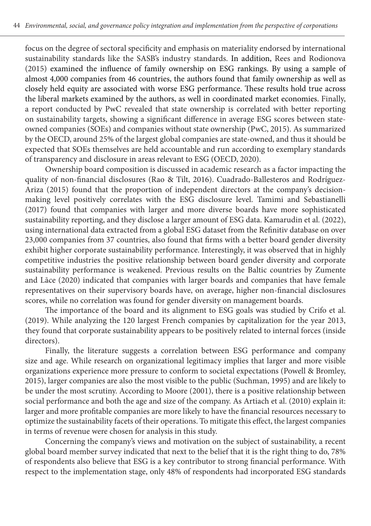focus on the degree of sectoral specificity and emphasis on materiality endorsed by international sustainability standards like the SASB's industry standards. In addition, Rees and Rodionova (2015) examined the influence of family ownership on ESG rankings. By using a sample of almost 4,000 companies from 46 countries, the authors found that family ownership as well as closely held equity are associated with worse ESG performance. These results hold true across the liberal markets examined by the authors, as well in coordinated market economies. Finally, a report conducted by PwC revealed that state ownership is correlated with better reporting on sustainability targets, showing a significant difference in average ESG scores between stateowned companies (SOEs) and companies without state ownership (PwC, 2015). As summarized by the OECD, around 25% of the largest global companies are state-owned, and thus it should be expected that SOEs themselves are held accountable and run according to exemplary standards of transparency and disclosure in areas relevant to ESG (OECD, 2020).

Ownership board composition is discussed in academic research as a factor impacting the quality of non-financial disclosures (Rao & Tilt, 2016). Cuadrado-Ballesteros and Rodríguez-Ariza (2015) found that the proportion of independent directors at the company's decisionmaking level positively correlates with the ESG disclosure level. Tamimi and Sebastianelli (2017) found that companies with larger and more diverse boards have more sophisticated sustainability reporting, and they disclose a larger amount of ESG data. Kamarudin et al. (2022), using international data extracted from a global ESG dataset from the Refinitiv database on over 23,000 companies from 37 countries, also found that firms with a better board gender diversity exhibit higher corporate sustainability performance. Interestingly, it was observed that in highly competitive industries the positive relationship between board gender diversity and corporate sustainability performance is weakened. Previous results on the Baltic countries by Zumente and Lāce (2020) indicated that companies with larger boards and companies that have female representatives on their supervisory boards have, on average, higher non-financial disclosures scores, while no correlation was found for gender diversity on management boards.

The importance of the board and its alignment to ESG goals was studied by Crifo et al. (2019). While analyzing the 120 largest French companies by capitalization for the year 2013, they found that corporate sustainability appears to be positively related to internal forces (inside directors).

Finally, the literature suggests a correlation between ESG performance and company size and age. While research on organizational legitimacy implies that larger and more visible organizations experience more pressure to conform to societal expectations (Powell & Bromley, 2015), larger companies are also the most visible to the public (Suchman, 1995) and are likely to be under the most scrutiny. According to Moore (2001), there is a positive relationship between social performance and both the age and size of the company. As Artiach et al. (2010) explain it: larger and more profitable companies are more likely to have the financial resources necessary to optimize the sustainability facets of their operations. To mitigate this effect, the largest companies in terms of revenue were chosen for analysis in this study.

Concerning the company's views and motivation on the subject of sustainability, a recent global board member survey indicated that next to the belief that it is the right thing to do, 78% of respondents also believe that ESG is a key contributor to strong financial performance. With respect to the implementation stage, only 48% of respondents had incorporated ESG standards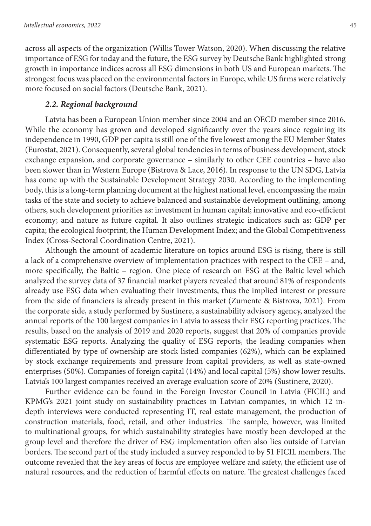across all aspects of the organization (Willis Tower Watson, 2020). When discussing the relative importance of ESG for today and the future, the ESG survey by Deutsche Bank highlighted strong growth in importance indices across all ESG dimensions in both US and European markets. The strongest focus was placed on the environmental factors in Europe, while US firms were relatively more focused on social factors (Deutsche Bank, 2021).

#### *2.2. Regional background*

Latvia has been a European Union member since 2004 and an OECD member since 2016. While the economy has grown and developed significantly over the years since regaining its independence in 1990, GDP per capita is still one of the five lowest among the EU Member States (Eurostat, 2021). Consequently, several global tendencies in terms of business development, stock exchange expansion, and corporate governance – similarly to other CEE countries – have also been slower than in Western Europe (Bistrova & Lace, 2016). In response to the UN SDG, Latvia has come up with the Sustainable Development Strategy 2030. According to the implementing body, this is a long-term planning document at the highest national level, encompassing the main tasks of the state and society to achieve balanced and sustainable development outlining, among others, such development priorities as: investment in human capital; innovative and eco-efficient economy; and nature as future capital. It also outlines strategic indicators such as: GDP per capita; the ecological footprint; the Human Development Index; and the Global Competitiveness Index (Cross-Sectoral Coordination Centre, 2021).

Although the amount of academic literature on topics around ESG is rising, there is still a lack of a comprehensive overview of implementation practices with respect to the CEE – and, more specifically, the Baltic – region. One piece of research on ESG at the Baltic level which analyzed the survey data of 37 financial market players revealed that around 81% of respondents already use ESG data when evaluating their investments, thus the implied interest or pressure from the side of financiers is already present in this market (Zumente & Bistrova, 2021). From the corporate side, a study performed by Sustinere, a sustainability advisory agency, analyzed the annual reports of the 100 largest companies in Latvia to assess their ESG reporting practices. The results, based on the analysis of 2019 and 2020 reports, suggest that 20% of companies provide systematic ESG reports. Analyzing the quality of ESG reports, the leading companies when differentiated by type of ownership are stock listed companies (62%), which can be explained by stock exchange requirements and pressure from capital providers, as well as state-owned enterprises (50%). Companies of foreign capital (14%) and local capital (5%) show lower results. Latvia's 100 largest companies received an average evaluation score of 20% (Sustinere, 2020).

Further evidence can be found in the Foreign Investor Council in Latvia (FICIL) and KPMG's 2021 joint study on sustainability practices in Latvian companies, in which 12 indepth interviews were conducted representing IT, real estate management, the production of construction materials, food, retail, and other industries. The sample, however, was limited to multinational groups, for which sustainability strategies have mostly been developed at the group level and therefore the driver of ESG implementation often also lies outside of Latvian borders. The second part of the study included a survey responded to by 51 FICIL members. The outcome revealed that the key areas of focus are employee welfare and safety, the efficient use of natural resources, and the reduction of harmful effects on nature. The greatest challenges faced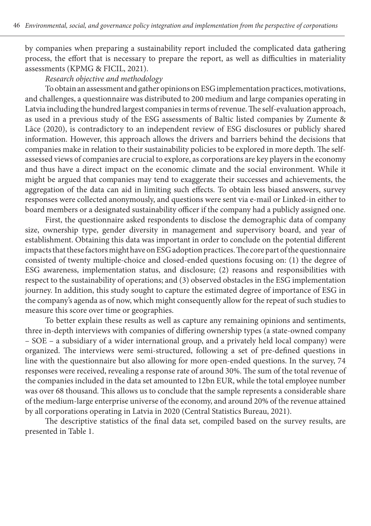by companies when preparing a sustainability report included the complicated data gathering process, the effort that is necessary to prepare the report, as well as difficulties in materiality assessments (KPMG & FICIL, 2021).

### *Research objective and methodology*

To obtain an assessment and gather opinions on ESG implementation practices, motivations, and challenges, a questionnaire was distributed to 200 medium and large companies operating in Latvia including the hundred largest companies in terms of revenue. The self-evaluation approach, as used in a previous study of the ESG assessments of Baltic listed companies by Zumente & Lāce (2020), is contradictory to an independent review of ESG disclosures or publicly shared information. However, this approach allows the drivers and barriers behind the decisions that companies make in relation to their sustainability policies to be explored in more depth. The selfassessed views of companies are crucial to explore, as corporations are key players in the economy and thus have a direct impact on the economic climate and the social environment. While it might be argued that companies may tend to exaggerate their successes and achievements, the aggregation of the data can aid in limiting such effects. To obtain less biased answers, survey responses were collected anonymously, and questions were sent via e-mail or Linked-in either to board members or a designated sustainability officer if the company had a publicly assigned one.

First, the questionnaire asked respondents to disclose the demographic data of company size, ownership type, gender diversity in management and supervisory board, and year of establishment. Obtaining this data was important in order to conclude on the potential different impacts that these factors might have on ESG adoption practices. The core part of the questionnaire consisted of twenty multiple-choice and closed-ended questions focusing on: (1) the degree of ESG awareness, implementation status, and disclosure; (2) reasons and responsibilities with respect to the sustainability of operations; and (3) observed obstacles in the ESG implementation journey. In addition, this study sought to capture the estimated degree of importance of ESG in the company's agenda as of now, which might consequently allow for the repeat of such studies to measure this score over time or geographies.

To better explain these results as well as capture any remaining opinions and sentiments, three in-depth interviews with companies of differing ownership types (a state-owned company – SOE – a subsidiary of a wider international group, and a privately held local company) were organized. The interviews were semi-structured, following a set of pre-defined questions in line with the questionnaire but also allowing for more open-ended questions. In the survey, 74 responses were received, revealing a response rate of around 30%. The sum of the total revenue of the companies included in the data set amounted to 12bn EUR, while the total employee number was over 68 thousand. This allows us to conclude that the sample represents a considerable share of the medium-large enterprise universe of the economy, and around 20% of the revenue attained by all corporations operating in Latvia in 2020 (Central Statistics Bureau, 2021).

The descriptive statistics of the final data set, compiled based on the survey results, are presented in Table 1.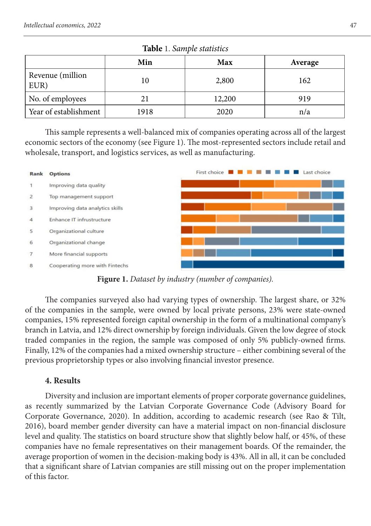|                          | Min  | Max    | Average |  |
|--------------------------|------|--------|---------|--|
| Revenue (million<br>EUR) | 10   | 2,800  | 162     |  |
| No. of employees         |      | 12,200 | 919     |  |
| Year of establishment    | 1918 | 2020   | n/a     |  |

| Table 1. Sample statistics |  |  |
|----------------------------|--|--|
|----------------------------|--|--|

This sample represents a well-balanced mix of companies operating across all of the largest economic sectors of the economy (see Figure 1). The most-represented sectors include retail and wholesale, transport, and logistics services, as well as manufacturing.



**Figure 1.** *Dataset by industry (number of companies).*

The companies surveyed also had varying types of ownership. The largest share, or 32% of the companies in the sample, were owned by local private persons, 23% were state-owned companies, 15% represented foreign capital ownership in the form of a multinational company's branch in Latvia, and 12% direct ownership by foreign individuals. Given the low degree of stock traded companies in the region, the sample was composed of only 5% publicly-owned firms. Finally, 12% of the companies had a mixed ownership structure – either combining several of the previous proprietorship types or also involving financial investor presence.

## **4. Results**

Diversity and inclusion are important elements of proper corporate governance guidelines, as recently summarized by the Latvian Corporate Governance Code (Advisory Board for Corporate Governance, 2020). In addition, according to academic research (see Rao & Tilt, 2016), board member gender diversity can have a material impact on non-financial disclosure level and quality. The statistics on board structure show that slightly below half, or 45%, of these companies have no female representatives on their management boards. Of the remainder, the average proportion of women in the decision-making body is 43%. All in all, it can be concluded that a significant share of Latvian companies are still missing out on the proper implementation of this factor.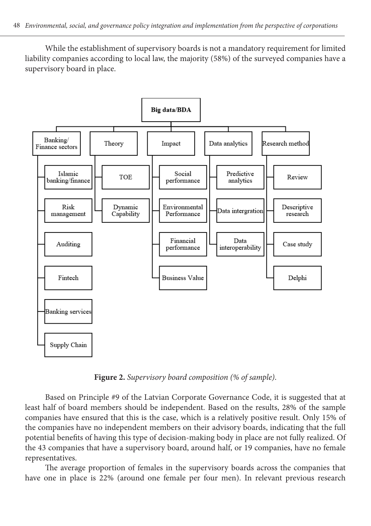While the establishment of supervisory boards is not a mandatory requirement for limited liability companies according to local law, the majority (58%) of the surveyed companies have a supervisory board in place.



**Figure 2.** *Supervisory board composition (% of sample)*.

Based on Principle #9 of the Latvian Corporate Governance Code, it is suggested that at least half of board members should be independent. Based on the results, 28% of the sample companies have ensured that this is the case, which is a relatively positive result. Only 15% of the companies have no independent members on their advisory boards, indicating that the full potential benefits of having this type of decision-making body in place are not fully realized. Of the 43 companies that have a supervisory board, around half, or 19 companies, have no female representatives.

The average proportion of females in the supervisory boards across the companies that have one in place is 22% (around one female per four men). In relevant previous research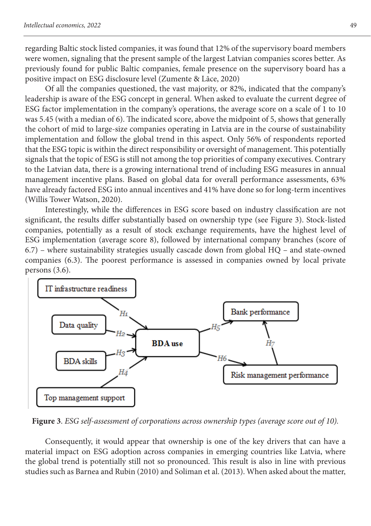regarding Baltic stock listed companies, it was found that 12% of the supervisory board members were women, signaling that the present sample of the largest Latvian companies scores better. As previously found for public Baltic companies, female presence on the supervisory board has a positive impact on ESG disclosure level (Zumente & Lāce, 2020)

Of all the companies questioned, the vast majority, or 82%, indicated that the company's leadership is aware of the ESG concept in general. When asked to evaluate the current degree of ESG factor implementation in the company's operations, the average score on a scale of 1 to 10 was 5.45 (with a median of 6). The indicated score, above the midpoint of 5, shows that generally the cohort of mid to large-size companies operating in Latvia are in the course of sustainability implementation and follow the global trend in this aspect. Only 56% of respondents reported that the ESG topic is within the direct responsibility or oversight of management. This potentially signals that the topic of ESG is still not among the top priorities of company executives. Contrary to the Latvian data, there is a growing international trend of including ESG measures in annual management incentive plans. Based on global data for overall performance assessments, 63% have already factored ESG into annual incentives and 41% have done so for long-term incentives (Willis Tower Watson, 2020).

Interestingly, while the differences in ESG score based on industry classification are not significant, the results differ substantially based on ownership type (see Figure 3). Stock-listed companies, potentially as a result of stock exchange requirements, have the highest level of ESG implementation (average score 8), followed by international company branches (score of 6.7) – where sustainability strategies usually cascade down from global HQ – and state-owned companies (6.3). The poorest performance is assessed in companies owned by local private persons (3.6).



**Figure 3**. *ESG self-assessment of corporations across ownership types (average score out of 10).*

Consequently, it would appear that ownership is one of the key drivers that can have a material impact on ESG adoption across companies in emerging countries like Latvia, where the global trend is potentially still not so pronounced. This result is also in line with previous studies such as Barnea and Rubin (2010) and Soliman et al. (2013). When asked about the matter,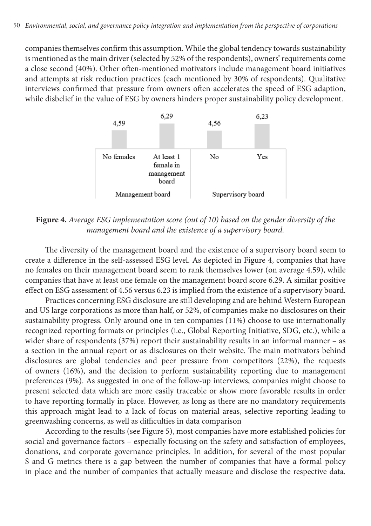companies themselves confirm this assumption. While the global tendency towards sustainability is mentioned as the main driver (selected by 52% of the respondents), owners' requirements come a close second (40%). Other often-mentioned motivators include management board initiatives and attempts at risk reduction practices (each mentioned by 30% of respondents). Qualitative interviews confirmed that pressure from owners often accelerates the speed of ESG adaption, while disbelief in the value of ESG by owners hinders proper sustainability policy development.



**Figure 4.** *Average ESG implementation score (out of 10) based on the gender diversity of the management board and the existence of a supervisory board.*

The diversity of the management board and the existence of a supervisory board seem to create a difference in the self-assessed ESG level. As depicted in Figure 4, companies that have no females on their management board seem to rank themselves lower (on average 4.59), while companies that have at least one female on the management board score 6.29. A similar positive effect on ESG assessment of 4.56 versus 6.23 is implied from the existence of a supervisory board.

Practices concerning ESG disclosure are still developing and are behind Western European and US large corporations as more than half, or 52%, of companies make no disclosures on their sustainability progress. Only around one in ten companies (11%) choose to use internationally recognized reporting formats or principles (i.e., Global Reporting Initiative, SDG, etc.), while a wider share of respondents (37%) report their sustainability results in an informal manner – as a section in the annual report or as disclosures on their website. The main motivators behind disclosures are global tendencies and peer pressure from competitors (22%), the requests of owners (16%), and the decision to perform sustainability reporting due to management preferences (9%). As suggested in one of the follow-up interviews, companies might choose to present selected data which are more easily traceable or show more favorable results in order to have reporting formally in place. However, as long as there are no mandatory requirements this approach might lead to a lack of focus on material areas, selective reporting leading to greenwashing concerns, as well as difficulties in data comparison

According to the results (see Figure 5), most companies have more established policies for social and governance factors – especially focusing on the safety and satisfaction of employees, donations, and corporate governance principles. In addition, for several of the most popular S and G metrics there is a gap between the number of companies that have a formal policy in place and the number of companies that actually measure and disclose the respective data.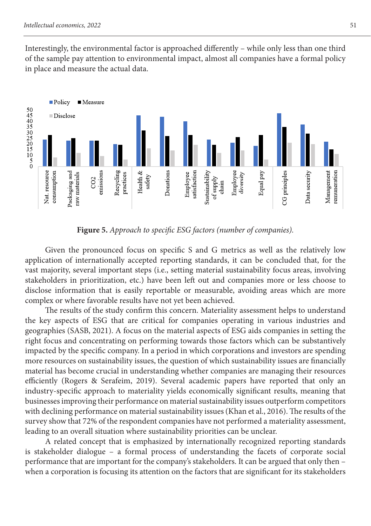Interestingly, the environmental factor is approached differently – while only less than one third of the sample pay attention to environmental impact, almost all companies have a formal policy in place and measure the actual data.



**Figure 5.** *Approach to specific ESG factors (number of companies).*

Given the pronounced focus on specific S and G metrics as well as the relatively low application of internationally accepted reporting standards, it can be concluded that, for the vast majority, several important steps (i.e., setting material sustainability focus areas, involving stakeholders in prioritization, etc.) have been left out and companies more or less choose to disclose information that is easily reportable or measurable, avoiding areas which are more complex or where favorable results have not yet been achieved.

The results of the study confirm this concern. Materiality assessment helps to understand the key aspects of ESG that are critical for companies operating in various industries and geographies (SASB, 2021). A focus on the material aspects of ESG aids companies in setting the right focus and concentrating on performing towards those factors which can be substantively impacted by the specific company. In a period in which corporations and investors are spending more resources on sustainability issues, the question of which sustainability issues are financially material has become crucial in understanding whether companies are managing their resources efficiently (Rogers & Serafeim, 2019). Several academic papers have reported that only an industry-specific approach to materiality yields economically significant results, meaning that businesses improving their performance on material sustainability issues outperform competitors with declining performance on material sustainability issues (Khan et al., 2016). The results of the survey show that 72% of the respondent companies have not performed a materiality assessment, leading to an overall situation where sustainability priorities can be unclear.

A related concept that is emphasized by internationally recognized reporting standards is stakeholder dialogue – a formal process of understanding the facets of corporate social performance that are important for the company's stakeholders. It can be argued that only then – when a corporation is focusing its attention on the factors that are significant for its stakeholders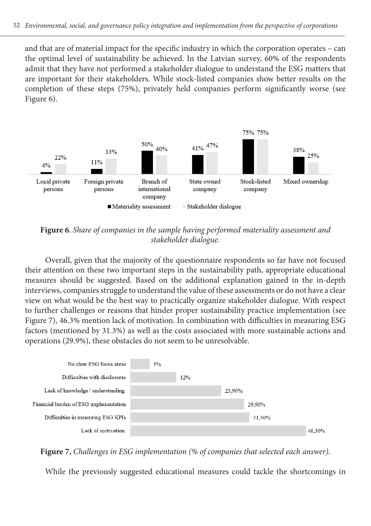and that are of material impact for the specific industry in which the corporation operates – can the optimal level of sustainability be achieved. In the Latvian survey, 60% of the respondents admit that they have not performed a stakeholder dialogue to understand the ESG matters that are important for their stakeholders. While stock-listed companies show better results on the completion of these steps (75%), privately held companies perform significantly worse (see Figure 6).



**Figure 6**. *Share of companies in the sample having performed materiality assessment and stakeholder dialogue.*

Overall, given that the majority of the questionnaire respondents so far have not focused their attention on these two important steps in the sustainability path, appropriate educational measures should be suggested. Based on the additional explanation gained in the in-depth interviews, companies struggle to understand the value of these assessments or do not have a clear view on what would be the best way to practically organize stakeholder dialogue. With respect to further challenges or reasons that hinder proper sustainability practice implementation (see Figure 7), 46.3% mention lack of motivation. In combination with difficulties in measuring ESG factors (mentioned by 31.3%) as well as the costs associated with more sustainable actions and operations (29.9%), these obstacles do not seem to be unresolvable.



**Figure 7.** *Challenges in ESG implementation (% of companies that selected each answer).*

While the previously suggested educational measures could tackle the shortcomings in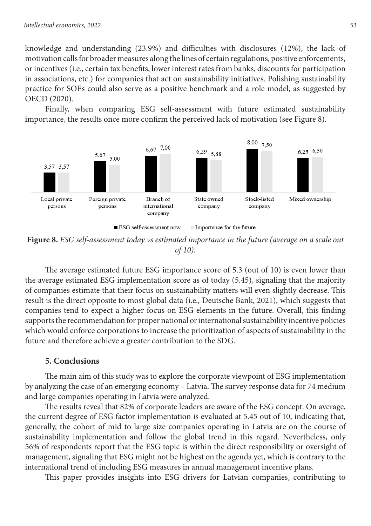knowledge and understanding (23.9%) and difficulties with disclosures (12%), the lack of motivation calls for broader measures along the lines of certain regulations, positive enforcements, or incentives (i.e., certain tax benefits, lower interest rates from banks, discounts for participation in associations, etc.) for companies that act on sustainability initiatives. Polishing sustainability practice for SOEs could also serve as a positive benchmark and a role model, as suggested by OECD (2020).

Finally, when comparing ESG self-assessment with future estimated sustainability importance, the results once more confirm the perceived lack of motivation (see Figure 8).



**Figure 8.** *ESG self-assessment today vs estimated importance in the future (average on a scale out of 10).*

The average estimated future ESG importance score of 5.3 (out of 10) is even lower than the average estimated ESG implementation score as of today (5.45), signaling that the majority of companies estimate that their focus on sustainability matters will even slightly decrease. This result is the direct opposite to most global data (i.e., Deutsche Bank, 2021), which suggests that companies tend to expect a higher focus on ESG elements in the future. Overall, this finding supports the recommendation for proper national or international sustainability incentive policies which would enforce corporations to increase the prioritization of aspects of sustainability in the future and therefore achieve a greater contribution to the SDG.

## **5. Conclusions**

The main aim of this study was to explore the corporate viewpoint of ESG implementation by analyzing the case of an emerging economy – Latvia. The survey response data for 74 medium and large companies operating in Latvia were analyzed.

The results reveal that 82% of corporate leaders are aware of the ESG concept. On average, the current degree of ESG factor implementation is evaluated at 5.45 out of 10, indicating that, generally, the cohort of mid to large size companies operating in Latvia are on the course of sustainability implementation and follow the global trend in this regard. Nevertheless, only 56% of respondents report that the ESG topic is within the direct responsibility or oversight of management, signaling that ESG might not be highest on the agenda yet, which is contrary to the international trend of including ESG measures in annual management incentive plans.

This paper provides insights into ESG drivers for Latvian companies, contributing to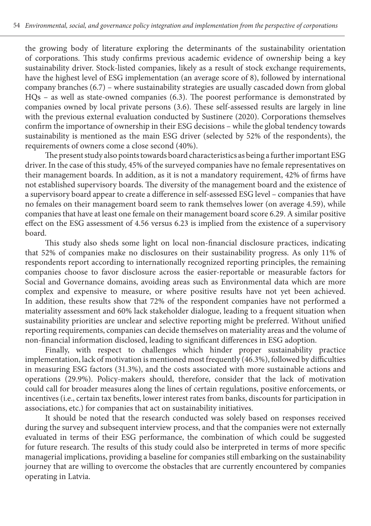the growing body of literature exploring the determinants of the sustainability orientation of corporations. This study confirms previous academic evidence of ownership being a key sustainability driver. Stock-listed companies, likely as a result of stock exchange requirements, have the highest level of ESG implementation (an average score of 8), followed by international company branches (6.7) – where sustainability strategies are usually cascaded down from global HQs – as well as state-owned companies (6.3). The poorest performance is demonstrated by companies owned by local private persons (3.6). These self-assessed results are largely in line with the previous external evaluation conducted by Sustinere (2020). Corporations themselves confirm the importance of ownership in their ESG decisions – while the global tendency towards sustainability is mentioned as the main ESG driver (selected by 52% of the respondents), the requirements of owners come a close second (40%).

The present study also points towards board characteristics as being a further important ESG driver. In the case of this study, 45% of the surveyed companies have no female representatives on their management boards. In addition, as it is not a mandatory requirement, 42% of firms have not established supervisory boards. The diversity of the management board and the existence of a supervisory board appear to create a difference in self-assessed ESG level – companies that have no females on their management board seem to rank themselves lower (on average 4.59), while companies that have at least one female on their management board score 6.29. A similar positive effect on the ESG assessment of 4.56 versus 6.23 is implied from the existence of a supervisory board.

This study also sheds some light on local non-financial disclosure practices, indicating that 52% of companies make no disclosures on their sustainability progress. As only 11% of respondents report according to internationally recognized reporting principles, the remaining companies choose to favor disclosure across the easier-reportable or measurable factors for Social and Governance domains, avoiding areas such as Environmental data which are more complex and expensive to measure, or where positive results have not yet been achieved. In addition, these results show that 72% of the respondent companies have not performed a materiality assessment and 60% lack stakeholder dialogue, leading to a frequent situation when sustainability priorities are unclear and selective reporting might be preferred. Without unified reporting requirements, companies can decide themselves on materiality areas and the volume of non-financial information disclosed, leading to significant differences in ESG adoption.

Finally, with respect to challenges which hinder proper sustainability practice implementation, lack of motivation is mentioned most frequently (46.3%), followed by difficulties in measuring ESG factors (31.3%), and the costs associated with more sustainable actions and operations (29.9%). Policy-makers should, therefore, consider that the lack of motivation could call for broader measures along the lines of certain regulations, positive enforcements, or incentives (i.e., certain tax benefits, lower interest rates from banks, discounts for participation in associations, etc.) for companies that act on sustainability initiatives.

It should be noted that the research conducted was solely based on responses received during the survey and subsequent interview process, and that the companies were not externally evaluated in terms of their ESG performance, the combination of which could be suggested for future research. The results of this study could also be interpreted in terms of more specific managerial implications, providing a baseline for companies still embarking on the sustainability journey that are willing to overcome the obstacles that are currently encountered by companies operating in Latvia.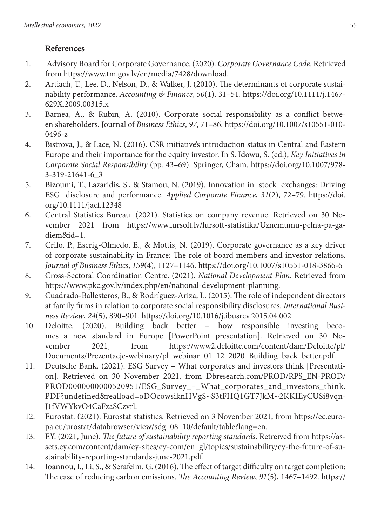# **References**

- 1. Advisory Board for Corporate Governance. (2020). *Corporate Governance Code*. Retrieved from https://www.tm.gov.lv/en/media/7428/download.
- 2. Artiach, T., Lee, D., Nelson, D., & Walker, J. (2010). The determinants of corporate sustainability performance. *Accounting & Finance*, *50*(1), 31–51. https://doi.org/10.1111/j.1467- 629X.2009.00315.x
- 3. Barnea, A., & Rubin, A. (2010). Corporate social responsibility as a conflict between shareholders. Journal of *Business Ethics*, *97*, 71–86. https://doi.org/10.1007/s10551-010- 0496-z
- 4. Bistrova, J., & Lace, N. (2016). CSR initiative's introduction status in Central and Eastern Europe and their importance for the equity investor. In S. Idowu, S. (ed.), *Key Initiatives in Corporate Social Responsibility* (pp. 43–69). Springer, Cham. https://doi.org/10.1007/978- 3-319-21641-6\_3
- 5. Bizoumi, T., Lazaridis, S., & Stamou, N. (2019). Innovation in stock exchanges: Driving ESG disclosure and performance. *Applied Corporate Finance*, *31*(2), 72–79. https://doi. org/10.1111/jacf.12348
- 6. Central Statistics Bureau. (2021). Statistics on company revenue. Retrieved on 30 November 2021 from https://www.lursoft.lv/lursoft-statistika/Uznemumu-pelna-pa-gadiem&id=1.
- 7. Crifo, P., Escrig-Olmedo, E., & Mottis, N. (2019). Corporate governance as a key driver of corporate sustainability in France: The role of board members and investor relations. *Journal of Business Ethics*, *159*(4), 1127–1146. https://doi.org/10.1007/s10551-018-3866-6
- 8. Cross-Sectoral Coordination Centre. (2021). *National Development Plan*. Retrieved from https://www.pkc.gov.lv/index.php/en/national-development-planning.
- 9. Cuadrado-Ballesteros, B., & Rodríguez-Ariza, L. (2015). The role of independent directors at family firms in relation to corporate social responsibility disclosures. *International Business Review*, *24*(5), 890–901. https://doi.org/10.1016/j.ibusrev.2015.04.002
- 10. Deloitte. (2020). Building back better how responsible investing becomes a new standard in Europe [PowerPoint presentation]. Retrieved on 30 November 2021, from https://www2.deloitte.com/content/dam/Deloitte/pl/ Documents/Prezentacje-webinary/pl\_webinar\_01\_12\_2020\_Building\_back\_better.pdf.
- 11. Deutsche Bank. (2021). ESG Survey What corporates and investors think [Presentation]. Retrieved on 30 November 2021, from Dbresearch.com/PROD/RPS\_EN-PROD/ PROD0000000000520951/ESG\_Survey - What corporates and investors think. PDF?undefined&realload=oDOcowsiknHVgS~S3tFHQ1GT7JkM~2KKIEyCUSi8vqn-J1fVWYkvO4CaFzaSCzvrl.
- 12. Eurostat. (2021). Eurostat statistics. Retrieved on 3 November 2021, from https://ec.europa.eu/urostat/databrowser/view/sdg\_08\_10/default/table?lang=en.
- 13. EY. (2021, June). *The future of sustainability reporting standards*. Retreived from https://assets.ey.com/content/dam/ey-sites/ey-com/en\_gl/topics/sustainability/ey-the-future-of-sustainability-reporting-standards-june-2021.pdf.
- 14. Ioannou, I., Li, S., & Serafeim, G. (2016). The effect of target difficulty on target completion: The case of reducing carbon emissions. *The Accounting Review*, *91*(5), 1467–1492. https://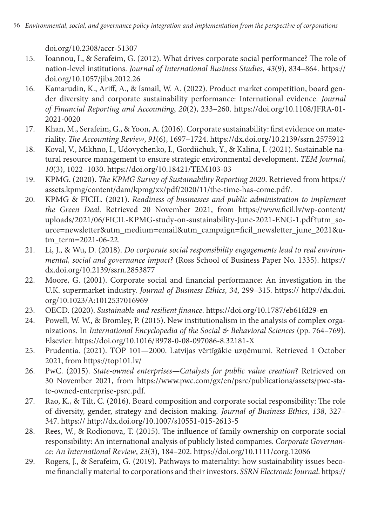doi.org/10.2308/accr-51307

- 15. Ioannou, I., & Serafeim, G. (2012). What drives corporate social performance? The role of nation-level institutions. *Journal of International Business Studies*, *43*(9), 834–864. https:// doi.org/10.1057/jibs.2012.26
- 16. Kamarudin, K., Ariff, A., & Ismail, W. A. (2022). Product market competition, board gender diversity and corporate sustainability performance: International evidence. *Journal of Financial Reporting and Accounting*, *20*(2), 233–260. https://doi.org/10.1108/JFRA-01- 2021-0020
- 17. Khan, M., Serafeim, G., & Yoon, A. (2016). Corporate sustainability: first evidence on materiality. *The Accounting Review*, *91*(6), 1697–1724. https://dx.doi.org/10.2139/ssrn.2575912
- 18. Koval, V., Mikhno, I., Udovychenko, I., Gordiichuk, Y., & Kalina, I. (2021). Sustainable natural resource management to ensure strategic environmental development. *TEM Journal*, *10*(3), 1022–1030. https://doi.org/10.18421/TEM103-03
- 19. KPMG. (2020). *The KPMG Survey of Sustainability Reporting 2020*. Retrieved from https:// assets.kpmg/content/dam/kpmg/xx/pdf/2020/11/the-time-has-come.pdf/.
- 20. KPMG & FICIL. (2021). *Readiness of businesses and public administration to implement the Green Deal*. Retrieved 20 November 2021, from https://www.ficil.lv/wp-content/ uploads/2021/06/FICIL-KPMG-study-on-sustainability-June-2021-ENG-1.pdf?utm\_source=newsletter&utm\_medium=email&utm\_campaign=ficil\_newsletter\_june\_2021&utm\_term=2021-06-22.
- 21. Li, J., & Wu, D. (2018). *Do corporate social responsibility engagements lead to real environmental, social and governance impact?* (Ross School of Business Paper No. 1335). https:// dx.doi.org/10.2139/ssrn.2853877
- 22. Moore, G. (2001). Corporate social and financial performance: An investigation in the U.K. supermarket industry. *Journal of Business Ethics*, *34*, 299–315. https:// http://dx.doi. org/10.1023/A:1012537016969
- 23. OECD. (2020). *Sustainable and resilient finance*. https://doi.org/10.1787/eb61fd29-en
- 24. Powell, W. W., & Bromley, P. (2015). New institutionalism in the analysis of complex organizations. In *International Encyclopedia of the Social & Behavioral Sciences* (pp. 764–769). Elsevier. https://doi.org/10.1016/B978-0-08-097086-8.32181-X
- 25. Prudentia. (2021). TOP 101—2000. Latvijas vērtīgākie uzņēmumi. Retrieved 1 October 2021, from https://top101.lv/
- 26. PwC. (2015). *State-owned enterprises—Catalysts for public value creation*? Retrieved on 30 November 2021, from https://www.pwc.com/gx/en/psrc/publications/assets/pwc-state-owned-enterprise-psrc.pdf.
- 27. Rao, K., & Tilt, C. (2016). Board composition and corporate social responsibility: The role of diversity, gender, strategy and decision making*. Journal of Business Ethics*, *138*, 327– 347. https:// http://dx.doi.org/10.1007/s10551-015-2613-5
- 28. Rees, W., & Rodionova, T. (2015). The influence of family ownership on corporate social responsibility: An international analysis of publicly listed companies. *Corporate Governance: An International Review*, *23*(3), 184–202. https://doi.org/10.1111/corg.12086
- 29. Rogers, J., & Serafeim, G. (2019). Pathways to materiality: how sustainability issues become financially material to corporations and their investors. *SSRN Electronic Journal*. https://